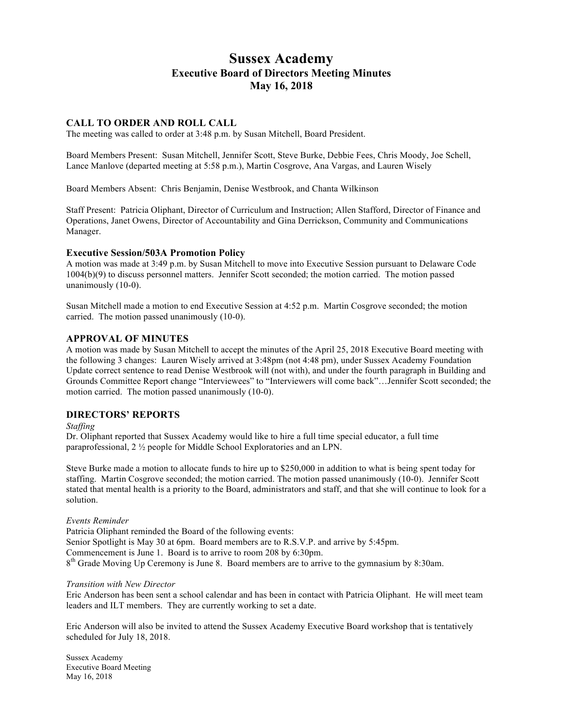# **Sussex Academy Executive Board of Directors Meeting Minutes May 16, 2018**

# **CALL TO ORDER AND ROLL CALL**

The meeting was called to order at 3:48 p.m. by Susan Mitchell, Board President.

Board Members Present: Susan Mitchell, Jennifer Scott, Steve Burke, Debbie Fees, Chris Moody, Joe Schell, Lance Manlove (departed meeting at 5:58 p.m.), Martin Cosgrove, Ana Vargas, and Lauren Wisely

Board Members Absent: Chris Benjamin, Denise Westbrook, and Chanta Wilkinson

Staff Present: Patricia Oliphant, Director of Curriculum and Instruction; Allen Stafford, Director of Finance and Operations, Janet Owens, Director of Accountability and Gina Derrickson, Community and Communications Manager.

### **Executive Session/503A Promotion Policy**

A motion was made at 3:49 p.m. by Susan Mitchell to move into Executive Session pursuant to Delaware Code 1004(b)(9) to discuss personnel matters. Jennifer Scott seconded; the motion carried. The motion passed unanimously (10-0).

Susan Mitchell made a motion to end Executive Session at 4:52 p.m. Martin Cosgrove seconded; the motion carried. The motion passed unanimously (10-0).

# **APPROVAL OF MINUTES**

A motion was made by Susan Mitchell to accept the minutes of the April 25, 2018 Executive Board meeting with the following 3 changes: Lauren Wisely arrived at 3:48pm (not 4:48 pm), under Sussex Academy Foundation Update correct sentence to read Denise Westbrook will (not with), and under the fourth paragraph in Building and Grounds Committee Report change "Interviewees" to "Interviewers will come back"…Jennifer Scott seconded; the motion carried. The motion passed unanimously (10-0).

# **DIRECTORS' REPORTS**

#### *Staffing*

Dr. Oliphant reported that Sussex Academy would like to hire a full time special educator, a full time paraprofessional, 2 ½ people for Middle School Exploratories and an LPN.

Steve Burke made a motion to allocate funds to hire up to \$250,000 in addition to what is being spent today for staffing. Martin Cosgrove seconded; the motion carried. The motion passed unanimously (10-0). Jennifer Scott stated that mental health is a priority to the Board, administrators and staff, and that she will continue to look for a solution.

#### *Events Reminder*

Patricia Oliphant reminded the Board of the following events: Senior Spotlight is May 30 at 6pm. Board members are to R.S.V.P. and arrive by 5:45pm. Commencement is June 1. Board is to arrive to room 208 by 6:30pm.  $8<sup>th</sup>$  Grade Moving Up Ceremony is June 8. Board members are to arrive to the gymnasium by 8:30am.

#### *Transition with New Director*

Eric Anderson has been sent a school calendar and has been in contact with Patricia Oliphant. He will meet team leaders and ILT members. They are currently working to set a date.

Eric Anderson will also be invited to attend the Sussex Academy Executive Board workshop that is tentatively scheduled for July 18, 2018.

Sussex Academy Executive Board Meeting May 16, 2018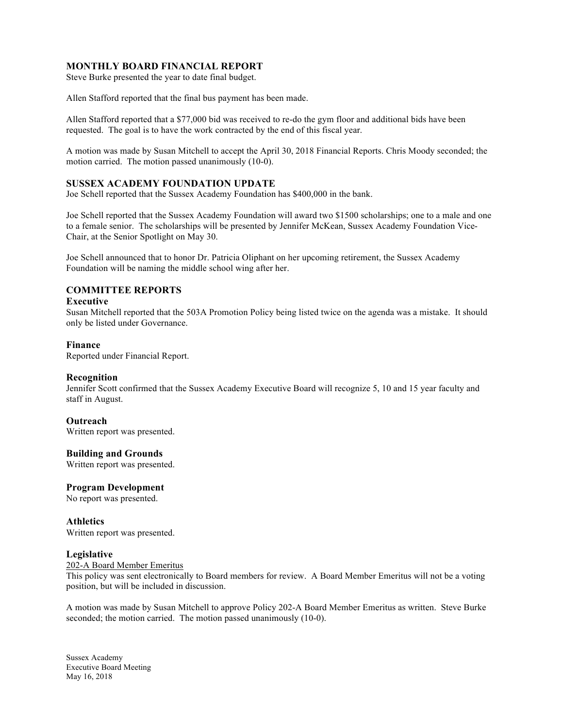# **MONTHLY BOARD FINANCIAL REPORT**

Steve Burke presented the year to date final budget.

Allen Stafford reported that the final bus payment has been made.

Allen Stafford reported that a \$77,000 bid was received to re-do the gym floor and additional bids have been requested. The goal is to have the work contracted by the end of this fiscal year.

A motion was made by Susan Mitchell to accept the April 30, 2018 Financial Reports. Chris Moody seconded; the motion carried. The motion passed unanimously (10-0).

## **SUSSEX ACADEMY FOUNDATION UPDATE**

Joe Schell reported that the Sussex Academy Foundation has \$400,000 in the bank.

Joe Schell reported that the Sussex Academy Foundation will award two \$1500 scholarships; one to a male and one to a female senior. The scholarships will be presented by Jennifer McKean, Sussex Academy Foundation Vice-Chair, at the Senior Spotlight on May 30.

Joe Schell announced that to honor Dr. Patricia Oliphant on her upcoming retirement, the Sussex Academy Foundation will be naming the middle school wing after her.

# **COMMITTEE REPORTS**

#### **Executive**

Susan Mitchell reported that the 503A Promotion Policy being listed twice on the agenda was a mistake. It should only be listed under Governance.

### **Finance**

Reported under Financial Report.

#### **Recognition**

Jennifer Scott confirmed that the Sussex Academy Executive Board will recognize 5, 10 and 15 year faculty and staff in August.

#### **Outreach**

Written report was presented.

# **Building and Grounds**

Written report was presented.

## **Program Development**

No report was presented.

**Athletics** Written report was presented.

#### **Legislative**

202-A Board Member Emeritus

This policy was sent electronically to Board members for review. A Board Member Emeritus will not be a voting position, but will be included in discussion.

A motion was made by Susan Mitchell to approve Policy 202-A Board Member Emeritus as written. Steve Burke seconded; the motion carried. The motion passed unanimously (10-0).

Sussex Academy Executive Board Meeting May 16, 2018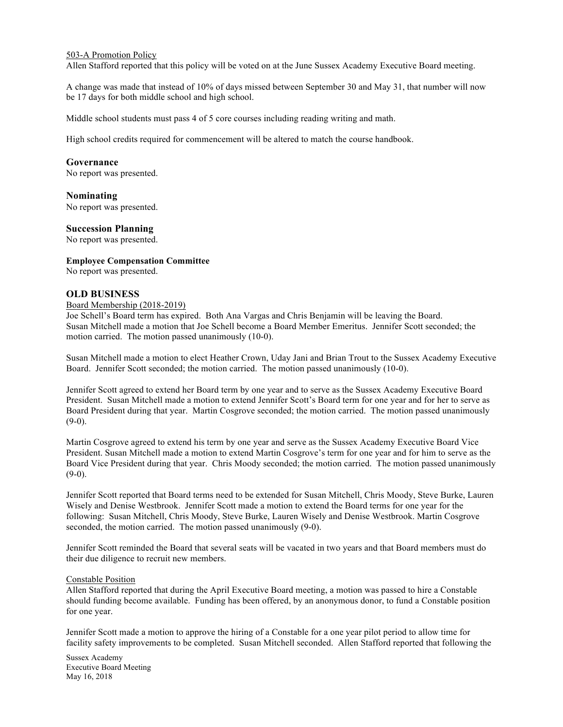### 503-A Promotion Policy

Allen Stafford reported that this policy will be voted on at the June Sussex Academy Executive Board meeting.

A change was made that instead of 10% of days missed between September 30 and May 31, that number will now be 17 days for both middle school and high school.

Middle school students must pass 4 of 5 core courses including reading writing and math.

High school credits required for commencement will be altered to match the course handbook.

## **Governance**

No report was presented.

**Nominating** No report was presented.

### **Succession Planning**

No report was presented.

### **Employee Compensation Committee**

No report was presented.

## **OLD BUSINESS**

#### Board Membership (2018-2019)

Joe Schell's Board term has expired. Both Ana Vargas and Chris Benjamin will be leaving the Board. Susan Mitchell made a motion that Joe Schell become a Board Member Emeritus. Jennifer Scott seconded; the motion carried. The motion passed unanimously (10-0).

Susan Mitchell made a motion to elect Heather Crown, Uday Jani and Brian Trout to the Sussex Academy Executive Board. Jennifer Scott seconded; the motion carried. The motion passed unanimously (10-0).

Jennifer Scott agreed to extend her Board term by one year and to serve as the Sussex Academy Executive Board President. Susan Mitchell made a motion to extend Jennifer Scott's Board term for one year and for her to serve as Board President during that year. Martin Cosgrove seconded; the motion carried. The motion passed unanimously  $(9-0)$ .

Martin Cosgrove agreed to extend his term by one year and serve as the Sussex Academy Executive Board Vice President. Susan Mitchell made a motion to extend Martin Cosgrove's term for one year and for him to serve as the Board Vice President during that year. Chris Moody seconded; the motion carried. The motion passed unanimously  $(9-0)$ .

Jennifer Scott reported that Board terms need to be extended for Susan Mitchell, Chris Moody, Steve Burke, Lauren Wisely and Denise Westbrook. Jennifer Scott made a motion to extend the Board terms for one year for the following: Susan Mitchell, Chris Moody, Steve Burke, Lauren Wisely and Denise Westbrook. Martin Cosgrove seconded, the motion carried. The motion passed unanimously (9-0).

Jennifer Scott reminded the Board that several seats will be vacated in two years and that Board members must do their due diligence to recruit new members.

#### Constable Position

Allen Stafford reported that during the April Executive Board meeting, a motion was passed to hire a Constable should funding become available. Funding has been offered, by an anonymous donor, to fund a Constable position for one year.

Jennifer Scott made a motion to approve the hiring of a Constable for a one year pilot period to allow time for facility safety improvements to be completed. Susan Mitchell seconded. Allen Stafford reported that following the

Sussex Academy Executive Board Meeting May 16, 2018